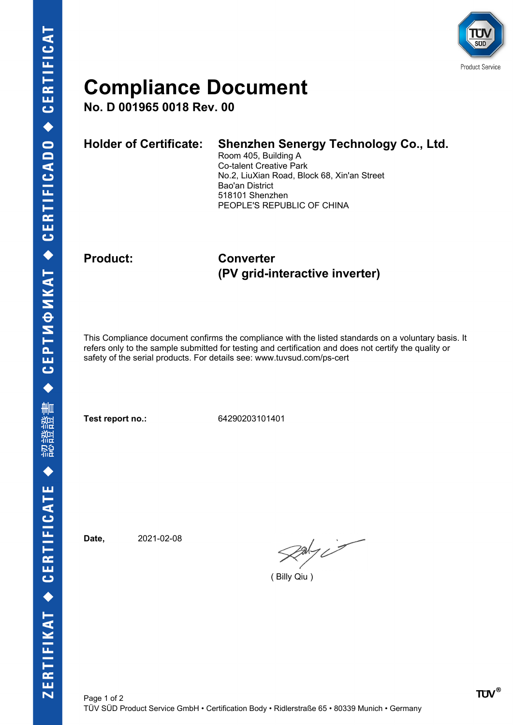

## **Compliance Document**

**No. D 001965 0018 Rev. 00**

| Holder of Certificate: Shenzhen Senergy Technology Co., Ltd. |
|--------------------------------------------------------------|
| Room 405, Building A                                         |
| Ca talant Craative Dark                                      |

Co-talent Creative Park No.2, LiuXian Road, Block 68, Xin'an Street Bao'an District 518101 Shenzhen PEOPLE'S REPUBLIC OF CHINA

### **Product: Converter (PV grid-interactive inverter)**

This Compliance document confirms the compliance with the listed standards on a voluntary basis. It refers only to the sample submitted for testing and certification and does not certify the quality or safety of the serial products. For details see: www.tuvsud.com/ps-cert

**Test report no.:** 64290203101401

**Date,** 2021-02-08

 $\rho_{\text{adv}}$ 

( Billy Qiu )